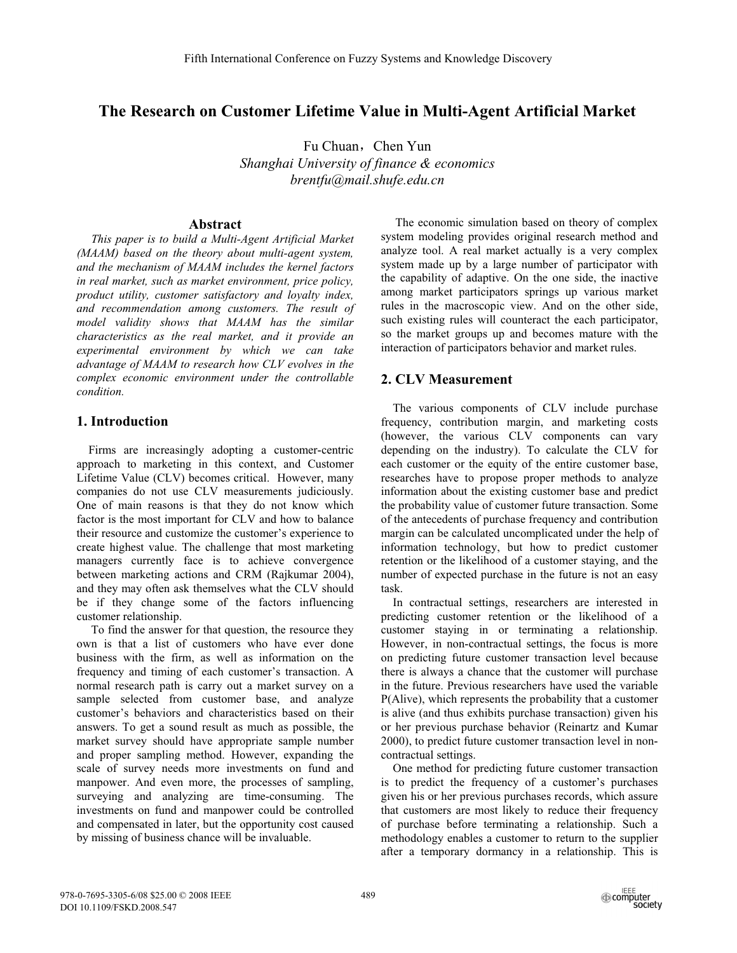# **The Research on Customer Lifetime Value in Multi-Agent Artificial Market**

Fu Chuan, Chen Yun

*Shanghai University of finance & economics brentfu@mail.shufe.edu.cn* 

## **Abstract**

*This paper is to build a Multi-Agent Artificial Market (MAAM) based on the theory about multi-agent system, and the mechanism of MAAM includes the kernel factors in real market, such as market environment, price policy, product utility, customer satisfactory and loyalty index, and recommendation among customers. The result of model validity shows that MAAM has the similar characteristics as the real market, and it provide an experimental environment by which we can take advantage of MAAM to research how CLV evolves in the complex economic environment under the controllable condition.* 

### **1. Introduction**

Firms are increasingly adopting a customer-centric approach to marketing in this context, and Customer Lifetime Value (CLV) becomes critical. However, many companies do not use CLV measurements judiciously. One of main reasons is that they do not know which factor is the most important for CLV and how to balance their resource and customize the customer's experience to create highest value. The challenge that most marketing managers currently face is to achieve convergence between marketing actions and CRM (Rajkumar 2004), and they may often ask themselves what the CLV should be if they change some of the factors influencing customer relationship.

To find the answer for that question, the resource they own is that a list of customers who have ever done business with the firm, as well as information on the frequency and timing of each customer's transaction. A normal research path is carry out a market survey on a sample selected from customer base, and analyze customer's behaviors and characteristics based on their answers. To get a sound result as much as possible, the market survey should have appropriate sample number and proper sampling method. However, expanding the scale of survey needs more investments on fund and manpower. And even more, the processes of sampling, surveying and analyzing are time-consuming. The investments on fund and manpower could be controlled and compensated in later, but the opportunity cost caused by missing of business chance will be invaluable.

The economic simulation based on theory of complex system modeling provides original research method and analyze tool. A real market actually is a very complex system made up by a large number of participator with the capability of adaptive. On the one side, the inactive among market participators springs up various market rules in the macroscopic view. And on the other side, such existing rules will counteract the each participator, so the market groups up and becomes mature with the interaction of participators behavior and market rules.

# **2. CLV Measurement**

The various components of CLV include purchase frequency, contribution margin, and marketing costs (however, the various CLV components can vary depending on the industry). To calculate the CLV for each customer or the equity of the entire customer base, researches have to propose proper methods to analyze information about the existing customer base and predict the probability value of customer future transaction. Some of the antecedents of purchase frequency and contribution margin can be calculated uncomplicated under the help of information technology, but how to predict customer retention or the likelihood of a customer staying, and the number of expected purchase in the future is not an easy task.

In contractual settings, researchers are interested in predicting customer retention or the likelihood of a customer staying in or terminating a relationship. However, in non-contractual settings, the focus is more on predicting future customer transaction level because there is always a chance that the customer will purchase in the future. Previous researchers have used the variable P(Alive), which represents the probability that a customer is alive (and thus exhibits purchase transaction) given his or her previous purchase behavior (Reinartz and Kumar 2000), to predict future customer transaction level in noncontractual settings.

One method for predicting future customer transaction is to predict the frequency of a customer's purchases given his or her previous purchases records, which assure that customers are most likely to reduce their frequency of purchase before terminating a relationship. Such a methodology enables a customer to return to the supplier after a temporary dormancy in a relationship. This is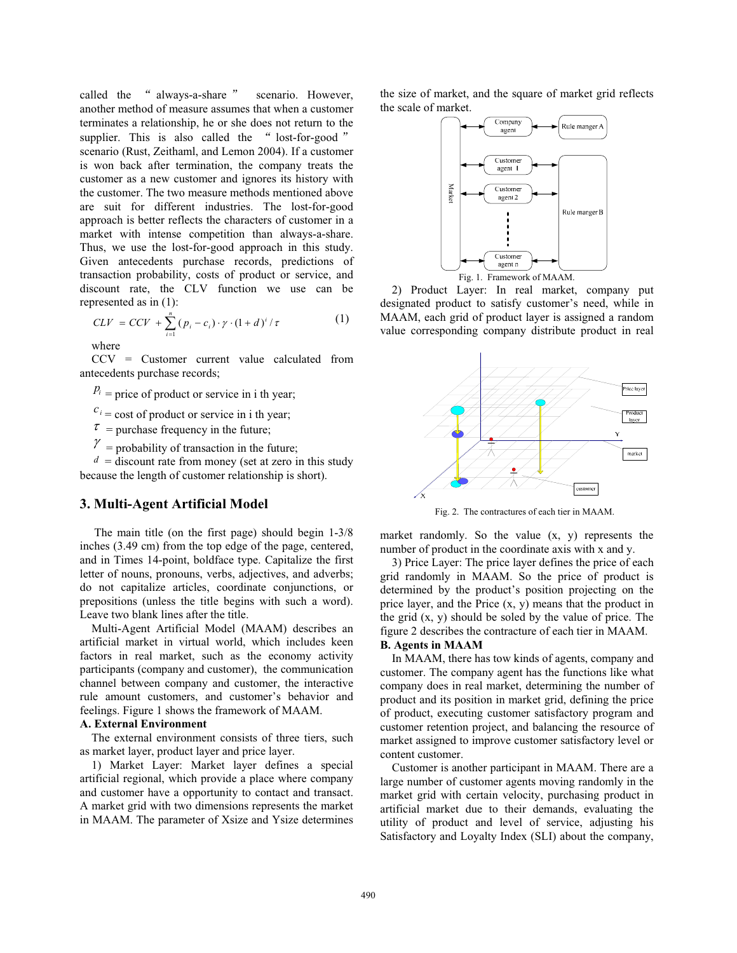called the  $\degree$  always-a-share  $\degree$  scenario. However, another method of measure assumes that when a customer terminates a relationship, he or she does not return to the supplier. This is also called the  $\degree$  lost-for-good  $\degree$ scenario (Rust, Zeithaml, and Lemon 2004). If a customer is won back after termination, the company treats the customer as a new customer and ignores its history with the customer. The two measure methods mentioned above are suit for different industries. The lost-for-good approach is better reflects the characters of customer in a market with intense competition than always-a-share. Thus, we use the lost-for-good approach in this study. Given antecedents purchase records, predictions of transaction probability, costs of product or service, and discount rate, the CLV function we use can be represented as in (1):

$$
CLV = CCV + \sum_{i=1}^{n} (p_i - c_i) \cdot \gamma \cdot (1 + d)^i / \tau \qquad (1)
$$

where

CCV = Customer current value calculated from antecedents purchase records;

 $P_i$  = price of product or service in i th year;

 $c_i$  = cost of product or service in i th year;

 $\tau$  = purchase frequency in the future;

 $\gamma$  = probability of transaction in the future;

 $d =$  discount rate from money (set at zero in this study because the length of customer relationship is short).

### **3. Multi-Agent Artificial Model**

The main title (on the first page) should begin 1-3/8 inches (3.49 cm) from the top edge of the page, centered, and in Times 14-point, boldface type. Capitalize the first letter of nouns, pronouns, verbs, adjectives, and adverbs; do not capitalize articles, coordinate conjunctions, or prepositions (unless the title begins with such a word). Leave two blank lines after the title.

Multi-Agent Artificial Model (MAAM) describes an artificial market in virtual world, which includes keen factors in real market, such as the economy activity participants (company and customer), the communication channel between company and customer, the interactive rule amount customers, and customer's behavior and feelings. Figure 1 shows the framework of MAAM.

#### **A. External Environment**

The external environment consists of three tiers, such as market layer, product layer and price layer.

1) Market Layer: Market layer defines a special artificial regional, which provide a place where company and customer have a opportunity to contact and transact. A market grid with two dimensions represents the market in MAAM. The parameter of Xsize and Ysize determines the size of market, and the square of market grid reflects the scale of market.



2) Product Layer: In real market, company put designated product to satisfy customer's need, while in MAAM, each grid of product layer is assigned a random value corresponding company distribute product in real



Fig. 2. The contractures of each tier in MAAM.

market randomly. So the value (x, y) represents the number of product in the coordinate axis with x and y.

3) Price Layer: The price layer defines the price of each grid randomly in MAAM. So the price of product is determined by the product's position projecting on the price layer, and the Price (x, y) means that the product in the grid  $(x, y)$  should be soled by the value of price. The figure 2 describes the contracture of each tier in MAAM.

### **B. Agents in MAAM**

In MAAM, there has tow kinds of agents, company and customer. The company agent has the functions like what company does in real market, determining the number of product and its position in market grid, defining the price of product, executing customer satisfactory program and customer retention project, and balancing the resource of market assigned to improve customer satisfactory level or content customer.

Customer is another participant in MAAM. There are a large number of customer agents moving randomly in the market grid with certain velocity, purchasing product in artificial market due to their demands, evaluating the utility of product and level of service, adjusting his Satisfactory and Loyalty Index (SLI) about the company,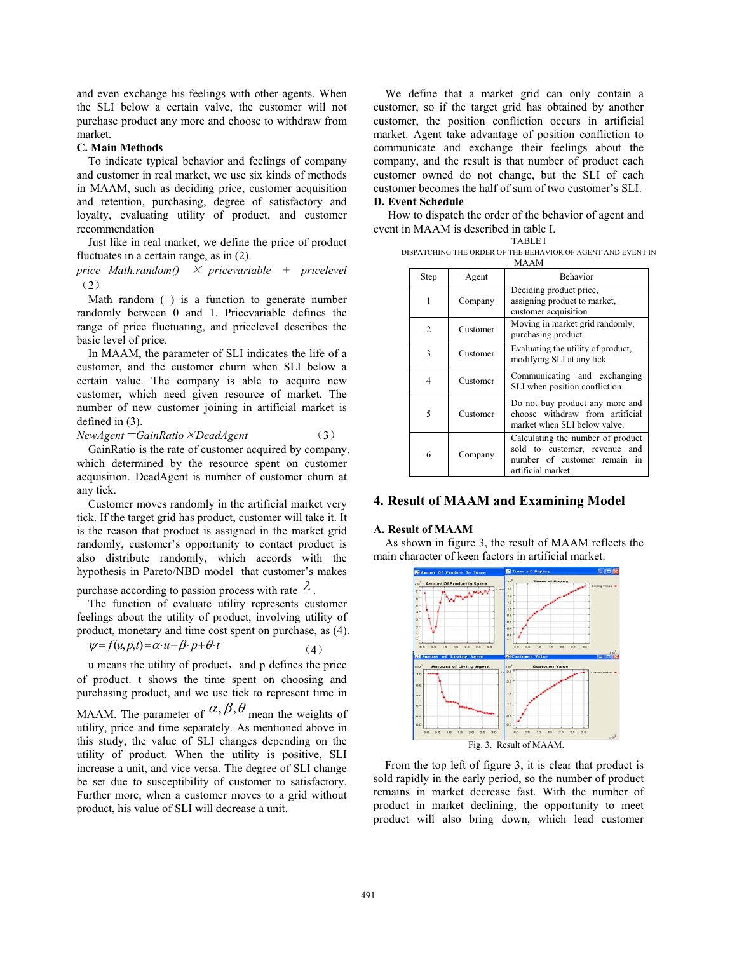and even exchange his feelings with other agents. When the SLI below a certain valve, the customer will not purchase product any more and choose to withdraw from market.

#### **C. Main Methods**

To indicate typical behavior and feelings of company and customer in real market, we use six kinds of methods in MAAM, such as deciding price, customer acquisition and retention, purchasing, degree of satisfactory and loyalty, evaluating utility of product, and customer recommendation

Just like in real market, we define the price of product fluctuates in a certain range, as in (2).

*price=Math.random()* <sup>h</sup> *pricevariable + pricelevel*   $(2)$ 

Math random ( ) is a function to generate number randomly between 0 and 1. Pricevariable defines the range of price fluctuating, and pricelevel describes the basic level of price.

In MAAM, the parameter of SLI indicates the life of a customer, and the customer churn when SLI below a certain value. The company is able to acquire new customer, which need given resource of market. The number of new customer joining in artificial market is defined in (3).

*NewAgent* = *GainRatio*  $\times$ *DeadAgent* (3)

GainRatio is the rate of customer acquired by company, which determined by the resource spent on customer acquisition. DeadAgent is number of customer churn at any tick.

Customer moves randomly in the artificial market very tick. If the target grid has product, customer will take it. It is the reason that product is assigned in the market grid randomly, customer's opportunity to contact product is also distribute randomly, which accords with the hypothesis in Pareto/NBD model that customer's makes

purchase according to passion process with rate  $\lambda$ .

The function of evaluate utility represents customer feelings about the utility of product, involving utility of product, monetary and time cost spent on purchase, as (4).

$$
\psi = f(u, p, t) = \alpha \cdot u - \beta \cdot p + \theta \cdot t \tag{4}
$$

u means the utility of product, and p defines the price of product. t shows the time spent on choosing and purchasing product, and we use tick to represent time in MAAM. The parameter of  $\alpha, \beta, \theta$  mean the weights of utility, price and time separately. As mentioned above in this study, the value of SLI changes depending on the utility of product. When the utility is positive, SLI increase a unit, and vice versa. The degree of SLI change be set due to susceptibility of customer to satisfactory. Further more, when a customer moves to a grid without product, his value of SLI will decrease a unit.

We define that a market grid can only contain a customer, so if the target grid has obtained by another customer, the position confliction occurs in artificial market. Agent take advantage of position confliction to communicate and exchange their feelings about the company, and the result is that number of product each customer owned do not change, but the SLI of each customer becomes the half of sum of two customer's SLI. **D. Event Schedule** 

 How to dispatch the order of the behavior of agent and event in MAAM is described in table I.

| TARLE |  |
|-------|--|
|-------|--|

DISPATCHING THE ORDER OF THE BEHAVIOR OF AGENT AND EVENT IN MAAM

| Step                     | Agent    | <b>Behavior</b>                                                                                                          |  |  |  |
|--------------------------|----------|--------------------------------------------------------------------------------------------------------------------------|--|--|--|
| 1                        | Company  | Deciding product price,<br>assigning product to market,<br>customer acquisition                                          |  |  |  |
| $\mathcal{L}$            | Customer | Moving in market grid randomly,<br>purchasing product                                                                    |  |  |  |
| 3                        | Customer | Evaluating the utility of product,<br>modifying SLI at any tick                                                          |  |  |  |
| 4                        | Customer | Communicating and exchanging<br>SLI when position confliction.                                                           |  |  |  |
| $\overline{\phantom{0}}$ | Customer | Do not buy product any more and<br>choose withdraw from artificial<br>market when SLI below valve.                       |  |  |  |
| 6                        | Company  | Calculating the number of product<br>sold to customer, revenue and<br>number of customer remain in<br>artificial market. |  |  |  |

#### **4. Result of MAAM and Examining Model**

#### **A. Result of MAAM**

As shown in figure 3, the result of MAAM reflects the main character of keen factors in artificial market.



From the top left of figure 3, it is clear that product is sold rapidly in the early period, so the number of product remains in market decrease fast. With the number of product in market declining, the opportunity to meet product will also bring down, which lead customer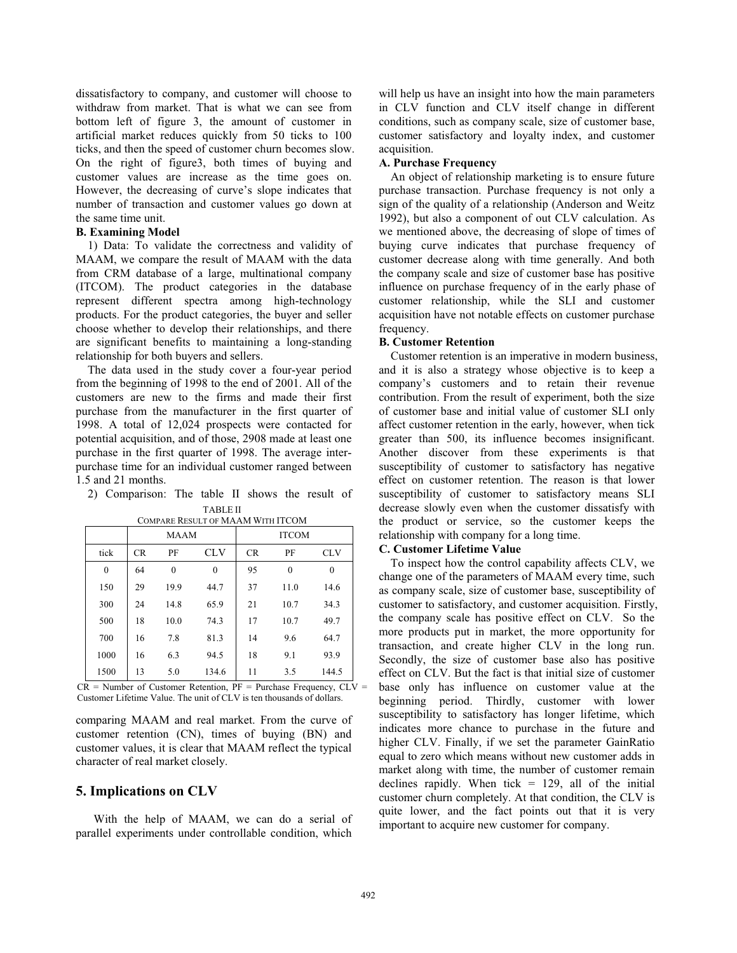dissatisfactory to company, and customer will choose to withdraw from market. That is what we can see from bottom left of figure 3, the amount of customer in artificial market reduces quickly from 50 ticks to 100 ticks, and then the speed of customer churn becomes slow. On the right of figure3, both times of buying and customer values are increase as the time goes on. However, the decreasing of curve's slope indicates that number of transaction and customer values go down at the same time unit.

#### **B. Examining Model**

1) Data: To validate the correctness and validity of MAAM, we compare the result of MAAM with the data from CRM database of a large, multinational company (ITCOM). The product categories in the database represent different spectra among high-technology products. For the product categories, the buyer and seller choose whether to develop their relationships, and there are significant benefits to maintaining a long-standing relationship for both buyers and sellers.

The data used in the study cover a four-year period from the beginning of 1998 to the end of 2001. All of the customers are new to the firms and made their first purchase from the manufacturer in the first quarter of 1998. A total of 12,024 prospects were contacted for potential acquisition, and of those, 2908 made at least one purchase in the first quarter of 1998. The average interpurchase time for an individual customer ranged between 1.5 and 21 months.

2) Comparison: The table II shows the result of TABLE II

|                  | MAAM      |          |            | <b>ITCOM</b> |          |            |
|------------------|-----------|----------|------------|--------------|----------|------------|
| tick             | <b>CR</b> | PF       | <b>CLV</b> | <b>CR</b>    | PF       | <b>CLV</b> |
| $\boldsymbol{0}$ | 64        | $\theta$ | $\theta$   | 95           | $\theta$ | $\theta$   |
| 150              | 29        | 19.9     | 44.7       | 37           | 11.0     | 14.6       |
| 300              | 24        | 14.8     | 65.9       | 21           | 10.7     | 34.3       |
| 500              | 18        | 10.0     | 74.3       | 17           | 10.7     | 49.7       |

COMPARE RESULT OF MAAM WITH ITCOM

1500 13 5.0 134.6 11 3.5 144.5  $CR =$  Number of Customer Retention,  $PF =$  Purchase Frequency, CLV Customer Lifetime Value. The unit of CLV is ten thousands of dollars.

700 16 7.8 81.3 14 9.6 64.7 1000 16 6.3 94.5 18 9.1 93.9

comparing MAAM and real market. From the curve of customer retention (CN), times of buying (BN) and customer values, it is clear that MAAM reflect the typical character of real market closely.

### **5. Implications on CLV**

 With the help of MAAM, we can do a serial of parallel experiments under controllable condition, which

will help us have an insight into how the main parameters in CLV function and CLV itself change in different conditions, such as company scale, size of customer base, customer satisfactory and loyalty index, and customer acquisition.

#### **A. Purchase Frequency**

An object of relationship marketing is to ensure future purchase transaction. Purchase frequency is not only a sign of the quality of a relationship (Anderson and Weitz 1992), but also a component of out CLV calculation. As we mentioned above, the decreasing of slope of times of buying curve indicates that purchase frequency of customer decrease along with time generally. And both the company scale and size of customer base has positive influence on purchase frequency of in the early phase of customer relationship, while the SLI and customer acquisition have not notable effects on customer purchase frequency.

#### **B. Customer Retention**

Customer retention is an imperative in modern business, and it is also a strategy whose objective is to keep a company's customers and to retain their revenue contribution. From the result of experiment, both the size of customer base and initial value of customer SLI only affect customer retention in the early, however, when tick greater than 500, its influence becomes insignificant. Another discover from these experiments is that susceptibility of customer to satisfactory has negative effect on customer retention. The reason is that lower susceptibility of customer to satisfactory means SLI decrease slowly even when the customer dissatisfy with the product or service, so the customer keeps the relationship with company for a long time.

#### **C. Customer Lifetime Value**

To inspect how the control capability affects CLV, we change one of the parameters of MAAM every time, such as company scale, size of customer base, susceptibility of customer to satisfactory, and customer acquisition. Firstly, the company scale has positive effect on CLV. So the more products put in market, the more opportunity for transaction, and create higher CLV in the long run. Secondly, the size of customer base also has positive effect on CLV. But the fact is that initial size of customer base only has influence on customer value at the beginning period. Thirdly, customer with lower susceptibility to satisfactory has longer lifetime, which indicates more chance to purchase in the future and higher CLV. Finally, if we set the parameter GainRatio equal to zero which means without new customer adds in market along with time, the number of customer remain declines rapidly. When tick  $= 129$ , all of the initial customer churn completely. At that condition, the CLV is quite lower, and the fact points out that it is very important to acquire new customer for company.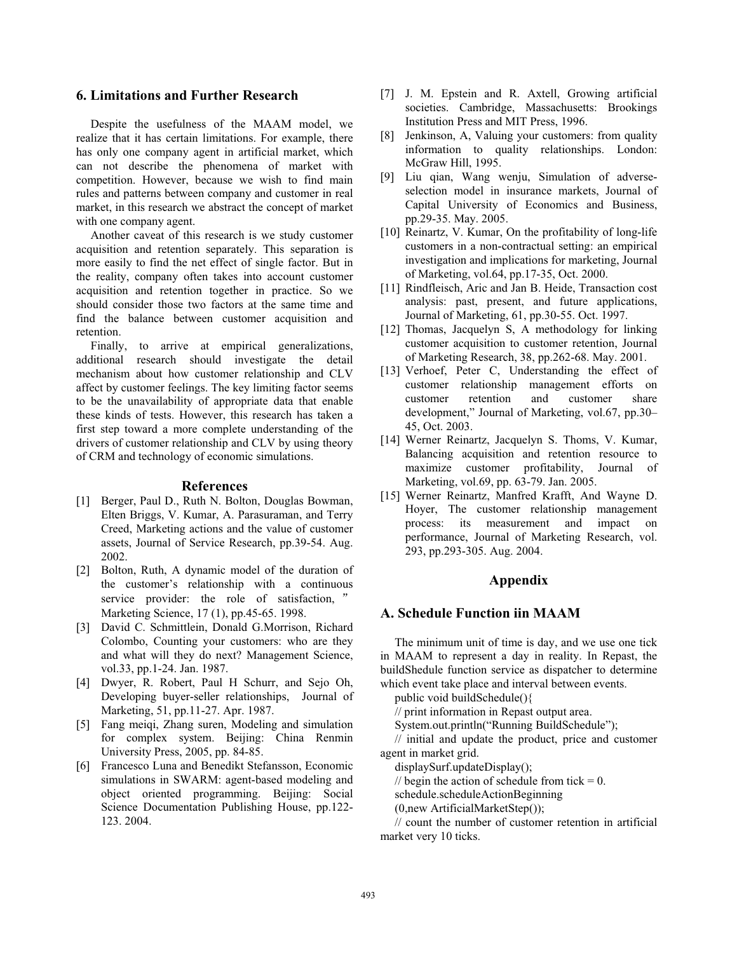### **6. Limitations and Further Research**

Despite the usefulness of the MAAM model, we realize that it has certain limitations. For example, there has only one company agent in artificial market, which can not describe the phenomena of market with competition. However, because we wish to find main rules and patterns between company and customer in real market, in this research we abstract the concept of market with one company agent.

Another caveat of this research is we study customer acquisition and retention separately. This separation is more easily to find the net effect of single factor. But in the reality, company often takes into account customer acquisition and retention together in practice. So we should consider those two factors at the same time and find the balance between customer acquisition and retention.

Finally, to arrive at empirical generalizations, additional research should investigate the detail mechanism about how customer relationship and CLV affect by customer feelings. The key limiting factor seems to be the unavailability of appropriate data that enable these kinds of tests. However, this research has taken a first step toward a more complete understanding of the drivers of customer relationship and CLV by using theory of CRM and technology of economic simulations.

#### **References**

- [1] Berger, Paul D., Ruth N. Bolton, Douglas Bowman, Elten Briggs, V. Kumar, A. Parasuraman, and Terry Creed, Marketing actions and the value of customer assets, Journal of Service Research, pp.39-54. Aug. 2002.
- [2] Bolton, Ruth, A dynamic model of the duration of the customer's relationship with a continuous service provider: the role of satisfaction, " Marketing Science, 17 (1), pp.45-65. 1998.
- [3] David C. Schmittlein, Donald G.Morrison, Richard Colombo, Counting your customers: who are they and what will they do next? Management Science, vol.33, pp.1-24. Jan. 1987.
- [4] Dwyer, R. Robert, Paul H Schurr, and Sejo Oh, Developing buyer-seller relationships, Journal of Marketing, 51, pp.11-27. Apr. 1987.
- [5] Fang meiqi, Zhang suren, Modeling and simulation for complex system. Beijing: China Renmin University Press, 2005, pp. 84-85.
- [6] Francesco Luna and Benedikt Stefansson, Economic simulations in SWARM: agent-based modeling and object oriented programming. Beijing: Social Science Documentation Publishing House, pp.122- 123. 2004.
- [7] J. M. Epstein and R. Axtell, Growing artificial societies. Cambridge, Massachusetts: Brookings Institution Press and MIT Press, 1996.
- [8] Jenkinson, A, Valuing your customers: from quality information to quality relationships. London: McGraw Hill, 1995.
- [9] Liu qian, Wang wenju, Simulation of adverseselection model in insurance markets, Journal of Capital University of Economics and Business, pp.29-35. May. 2005.
- [10] Reinartz, V. Kumar, On the profitability of long-life customers in a non-contractual setting: an empirical investigation and implications for marketing, Journal of Marketing, vol.64, pp.17-35, Oct. 2000.
- [11] Rindfleisch, Aric and Jan B. Heide, Transaction cost analysis: past, present, and future applications, Journal of Marketing, 61, pp.30-55. Oct. 1997.
- [12] Thomas, Jacquelyn S, A methodology for linking customer acquisition to customer retention, Journal of Marketing Research, 38, pp.262-68. May. 2001.
- [13] Verhoef, Peter C, Understanding the effect of customer relationship management efforts on customer retention and customer share development," Journal of Marketing, vol.67, pp.30– 45, Oct. 2003.
- [14] Werner Reinartz, Jacquelyn S. Thoms, V. Kumar, Balancing acquisition and retention resource to maximize customer profitability, Journal of Marketing, vol.69, pp. 63-79. Jan. 2005.
- [15] Werner Reinartz, Manfred Krafft, And Wayne D. Hoyer, The customer relationship management process: its measurement and impact on performance, Journal of Marketing Research, vol. 293, pp.293-305. Aug. 2004.

#### **Appendix**

### **A. Schedule Function iin MAAM**

The minimum unit of time is day, and we use one tick in MAAM to represent a day in reality. In Repast, the buildShedule function service as dispatcher to determine which event take place and interval between events.

public void buildSchedule(){

// print information in Repast output area.

System.out.println("Running BuildSchedule");

// initial and update the product, price and customer agent in market grid.

displaySurf.updateDisplay();

// begin the action of schedule from tick =  $0$ .

schedule.scheduleActionBeginning

(0,new ArtificialMarketStep());

// count the number of customer retention in artificial market very 10 ticks.